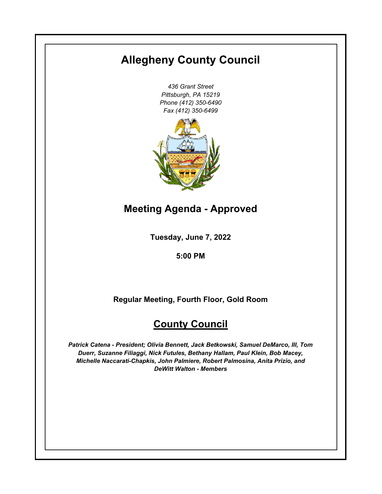# **Allegheny County Council**

*436 Grant Street Pittsburgh, PA 15219 Phone (412) 350-6490 Fax (412) 350-6499*



**Meeting Agenda - Approved**

**Tuesday, June 7, 2022**

**5:00 PM**

**Regular Meeting, Fourth Floor, Gold Room**

# **County Council**

*Patrick Catena - President; Olivia Bennett, Jack Betkowski, Samuel DeMarco, III, Tom Duerr, Suzanne Filiaggi, Nick Futules, Bethany Hallam, Paul Klein, Bob Macey, Michelle Naccarati-Chapkis, John Palmiere, Robert Palmosina, Anita Prizio, and DeWitt Walton - Members*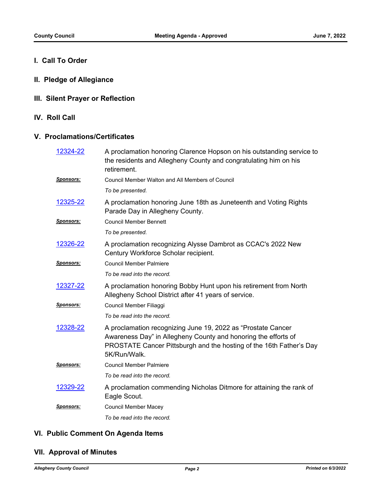## **I. Call To Order**

**II. Pledge of Allegiance**

# **III. Silent Prayer or Reflection**

**IV. Roll Call**

## **V. Proclamations/Certificates**

| 12324-22         | A proclamation honoring Clarence Hopson on his outstanding service to<br>the residents and Allegheny County and congratulating him on his<br>retirement.                                                               |  |  |
|------------------|------------------------------------------------------------------------------------------------------------------------------------------------------------------------------------------------------------------------|--|--|
| <b>Sponsors:</b> | <b>Council Member Walton and All Members of Council</b>                                                                                                                                                                |  |  |
|                  | To be presented.                                                                                                                                                                                                       |  |  |
| 12325-22         | A proclamation honoring June 18th as Juneteenth and Voting Rights<br>Parade Day in Allegheny County.                                                                                                                   |  |  |
| <u>Sponsors:</u> | <b>Council Member Bennett</b>                                                                                                                                                                                          |  |  |
|                  | To be presented.                                                                                                                                                                                                       |  |  |
| 12326-22         | A proclamation recognizing Alysse Dambrot as CCAC's 2022 New<br>Century Workforce Scholar recipient.                                                                                                                   |  |  |
| <u>Sponsors:</u> | <b>Council Member Palmiere</b>                                                                                                                                                                                         |  |  |
|                  | To be read into the record.                                                                                                                                                                                            |  |  |
| 12327-22         | A proclamation honoring Bobby Hunt upon his retirement from North<br>Allegheny School District after 41 years of service.                                                                                              |  |  |
| <u>Sponsors:</u> | Council Member Filiaggi                                                                                                                                                                                                |  |  |
|                  | To be read into the record.                                                                                                                                                                                            |  |  |
| 12328-22         | A proclamation recognizing June 19, 2022 as "Prostate Cancer"<br>Awareness Day" in Allegheny County and honoring the efforts of<br>PROSTATE Cancer Pittsburgh and the hosting of the 16th Father's Day<br>5K/Run/Walk. |  |  |
| <b>Sponsors:</b> | <b>Council Member Palmiere</b>                                                                                                                                                                                         |  |  |
|                  | To be read into the record.                                                                                                                                                                                            |  |  |
| 12329-22         | A proclamation commending Nicholas Ditmore for attaining the rank of<br>Eagle Scout.                                                                                                                                   |  |  |
| <u>Sponsors:</u> | <b>Council Member Macey</b>                                                                                                                                                                                            |  |  |
|                  | To be read into the record.                                                                                                                                                                                            |  |  |

# **VI. Public Comment On Agenda Items**

## **VII. Approval of Minutes**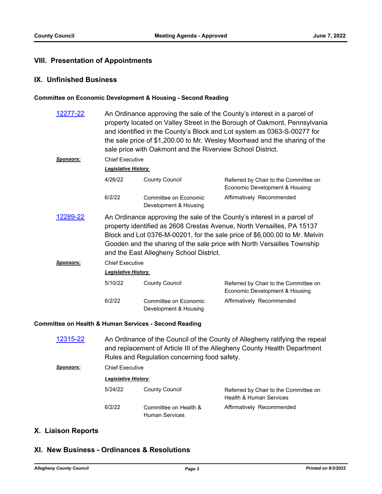# **VIII. Presentation of Appointments**

### **IX. Unfinished Business**

#### **Committee on Economic Development & Housing - Second Reading**

| An Ordinance approving the sale of the County's interest in a parcel of<br>property located on Valley Street in the Borough of Oakmont, Pennsylvania<br>and identified in the County's Block and Lot system as 0363-S-00277 for<br>the sale price of \$1,200.00 to Mr. Wesley Moorhead and the sharing of the<br>sale price with Oakmont and the Riverview School District. |                                                |                                                                         |  |  |  |
|-----------------------------------------------------------------------------------------------------------------------------------------------------------------------------------------------------------------------------------------------------------------------------------------------------------------------------------------------------------------------------|------------------------------------------------|-------------------------------------------------------------------------|--|--|--|
| <b>Chief Executive</b>                                                                                                                                                                                                                                                                                                                                                      |                                                |                                                                         |  |  |  |
| <b>Legislative History</b>                                                                                                                                                                                                                                                                                                                                                  |                                                |                                                                         |  |  |  |
| 4/26/22                                                                                                                                                                                                                                                                                                                                                                     | <b>County Council</b>                          | Referred by Chair to the Committee on<br>Economic Development & Housing |  |  |  |
| 6/2/22                                                                                                                                                                                                                                                                                                                                                                      | Committee on Fconomic<br>Development & Housing | Affirmatively Recommended                                               |  |  |  |
| An Ordinance approving the sale of the County's interest in a parcel of<br>property identified as 2608 Crestas Avenue, North Versailles, PA 15137<br>Block and Lot 0376-M-00201, for the sale price of \$6,000.00 to Mr. Melvin<br>Gooden and the sharing of the sale price with North Versailles Township<br>and the East Allegheny School District.                       |                                                |                                                                         |  |  |  |
| <b>Chief Executive</b>                                                                                                                                                                                                                                                                                                                                                      |                                                |                                                                         |  |  |  |
| <b>Legislative History</b>                                                                                                                                                                                                                                                                                                                                                  |                                                |                                                                         |  |  |  |
| 5/10/22                                                                                                                                                                                                                                                                                                                                                                     | <b>County Council</b>                          | Referred by Chair to the Committee on<br>Economic Development & Housing |  |  |  |
| 6/2/22                                                                                                                                                                                                                                                                                                                                                                      | Committee on Economic<br>Development & Housing | Affirmatively Recommended                                               |  |  |  |
|                                                                                                                                                                                                                                                                                                                                                                             |                                                |                                                                         |  |  |  |

#### **Committee on Health & Human Services - Second Reading**

| 12315-22  | An Ordinance of the Council of the County of Allegheny ratifying the repeal<br>and replacement of Article III of the Allegheny County Health Department<br>Rules and Regulation concerning food safety. |                                                |                                                                  |  |  |
|-----------|---------------------------------------------------------------------------------------------------------------------------------------------------------------------------------------------------------|------------------------------------------------|------------------------------------------------------------------|--|--|
| Sponsors: | <b>Chief Executive</b>                                                                                                                                                                                  |                                                |                                                                  |  |  |
|           | <b>Legislative History</b>                                                                                                                                                                              |                                                |                                                                  |  |  |
|           | 5/24/22                                                                                                                                                                                                 | County Council                                 | Referred by Chair to the Committee on<br>Health & Human Services |  |  |
|           | 6/2/22                                                                                                                                                                                                  | Committee on Health &<br><b>Human Services</b> | Affirmatively Recommended                                        |  |  |

# **X. Liaison Reports**

# **XI. New Business - Ordinances & Resolutions**